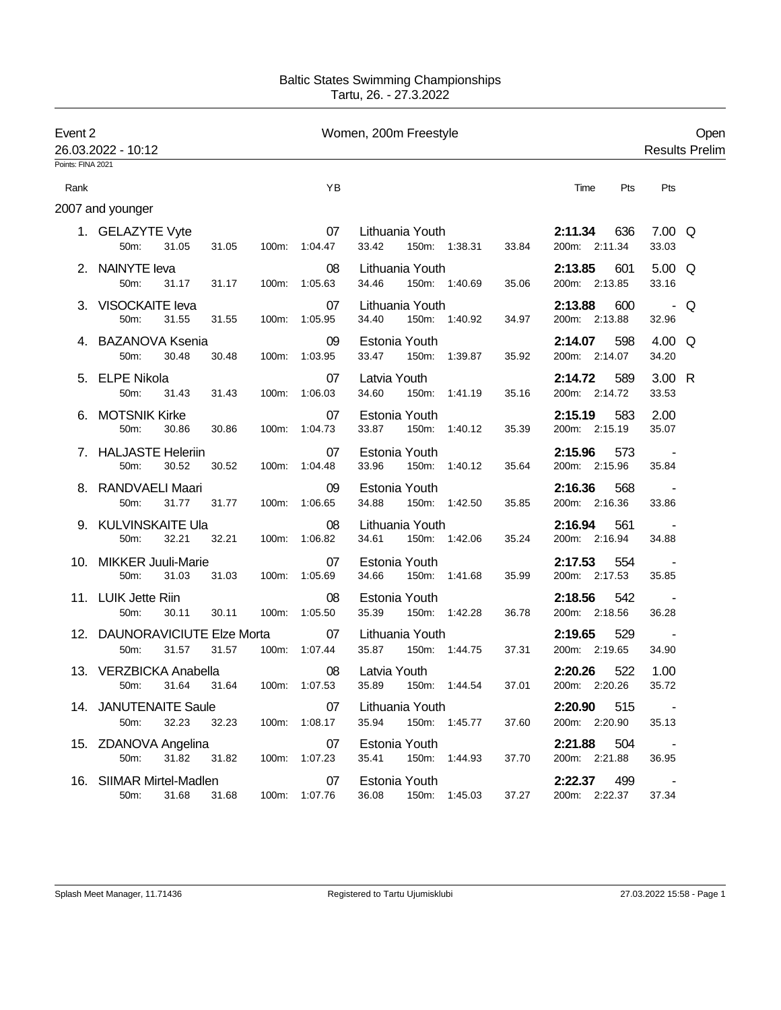## Baltic States Swimming Championships Tartu, 26. - 27.3.2022

| Event 2<br>26.03.2022 - 10:12 |                                                |             |       | Women, 200m Freestyle | Open<br><b>Results Prelim</b>                      |                                 |                                    |
|-------------------------------|------------------------------------------------|-------------|-------|-----------------------|----------------------------------------------------|---------------------------------|------------------------------------|
| Points: FINA 2021             |                                                |             |       |                       |                                                    |                                 |                                    |
| Rank                          |                                                |             |       | YB                    |                                                    | Time<br>Pts                     | Pts                                |
|                               | 2007 and younger                               |             |       |                       |                                                    |                                 |                                    |
|                               | 1. GELAZYTE Vyte<br>50m:<br>31.05              | 31.05       |       | 07<br>100m: 1:04.47   | Lithuania Youth<br>33.42<br>150m: 1:38.31<br>33.84 | 2:11.34<br>636<br>200m: 2:11.34 | $7.00 \Omega$<br>33.03             |
|                               | 2. NAINYTE leva<br>50m:<br>31.17               | 31.17       |       | 08<br>100m: 1:05.63   | Lithuania Youth<br>34.46<br>150m: 1:40.69<br>35.06 | 2:13.85<br>601<br>200m: 2:13.85 | $5.00 \Omega$<br>33.16             |
|                               | 3. VISOCKAITE leva<br>31.55<br>50m:            | 31.55       |       | 07<br>100m: 1:05.95   | Lithuania Youth<br>34.40<br>150m: 1:40.92<br>34.97 | 2:13.88<br>600<br>200m: 2:13.88 | - Q<br>32.96                       |
|                               | 4. BAZANOVA Ksenia<br>50m:<br>30.48            | 30.48       |       | 09<br>100m: 1:03.95   | Estonia Youth<br>33.47<br>150m: 1:39.87<br>35.92   | 598<br>2:14.07<br>200m: 2:14.07 | $4.00\quad\Omega$<br>34.20         |
|                               | 5. ELPE Nikola<br>50 <sub>m</sub> :<br>31.43   | 31.43       |       | 07<br>100m: 1:06.03   | Latvia Youth<br>34.60<br>150m: 1:41.19<br>35.16    | 2:14.72<br>589<br>200m: 2:14.72 | 3.00 R<br>33.53                    |
| 6.                            | <b>MOTSNIK Kirke</b><br>50m:<br>30.86          | 30.86       |       | 07<br>100m: 1:04.73   | Estonia Youth<br>33.87<br>150m: 1:40.12<br>35.39   | 2:15.19<br>583<br>200m: 2:15.19 | 2.00<br>35.07                      |
|                               | 7. HALJASTE Heleriin<br>50m:<br>30.52          | 30.52       |       | 07<br>100m: 1:04.48   | Estonia Youth<br>33.96<br>150m: 1:40.12<br>35.64   | 2:15.96<br>573<br>200m: 2:15.96 | $\sim 100$<br>35.84                |
|                               | 8. RANDVAELI Maari<br>50m:<br>31.77            | 31.77       | 100m: | 09<br>1:06.65         | Estonia Youth<br>34.88<br>150m: 1:42.50<br>35.85   | 2:16.36<br>568<br>200m: 2:16.36 | 33.86                              |
|                               | 9. KULVINSKAITE Ula<br>50m:<br>32.21           | 32.21       |       | 08<br>100m: 1:06.82   | Lithuania Youth<br>34.61<br>150m: 1:42.06<br>35.24 | 2:16.94<br>561<br>200m: 2:16.94 | 34.88                              |
|                               | 10. MIKKER Juuli-Marie<br>50m:<br>31.03        | 31.03       |       | 07<br>100m: 1:05.69   | Estonia Youth<br>34.66<br>150m: 1:41.68<br>35.99   | 2:17.53<br>554<br>200m: 2:17.53 | 35.85                              |
|                               | 11. LUIK Jette Riin<br>50m:<br>30.11           | 30.11       |       | 08<br>100m: 1:05.50   | Estonia Youth<br>35.39<br>150m: 1:42.28<br>36.78   | 2:18.56<br>542<br>200m: 2:18.56 | $\sim$ $-$<br>36.28                |
|                               | 12. DAUNORAVICIUTE Elze Morta<br>50m:<br>31.57 | 31.57       |       | 07<br>100m: 1:07.44   | Lithuania Youth<br>35.87<br>150m: 1:44.75<br>37.31 | 529<br>2:19.65<br>200m: 2:19.65 | $\sim 100$ km s $^{-1}$<br>34.90   |
|                               | 13. VERZBICKA Anabella<br>31.64<br>$50m$ :     | 31.64       | 100m: | 08<br>1:07.53         | Latvia Youth<br>35.89<br>37.01<br>150m: 1:44.54    | 2:20.26<br>522<br>200m: 2:20.26 | 1.00<br>35.72                      |
|                               | 14. JANUTENAITE Saule<br>32.23<br>50m:         | 32.23       |       | 07<br>100m: 1:08.17   | Lithuania Youth<br>35.94 150m: 1:45.77<br>37.60    | 2:20.90<br>515<br>200m: 2:20.90 | $\sim 10^{-10}$ m $^{-1}$<br>35.13 |
|                               | 15. ZDANOVA Angelina<br>31.82<br>50m:          | 31.82       |       | 07<br>100m: 1:07.23   | Estonia Youth<br>35.41<br>150m: 1:44.93<br>37.70   | 2:21.88<br>504<br>200m: 2:21.88 | <b>Contractor</b><br>36.95         |
|                               | 16. SIIMAR Mirtel-Madlen<br>50m:               | 31.68 31.68 |       | 07<br>100m: 1:07.76   | Estonia Youth<br>36.08<br>150m: 1:45.03<br>37.27   | 2:22.37<br>499<br>200m: 2:22.37 | $\sim 100$ km s $^{-1}$<br>37.34   |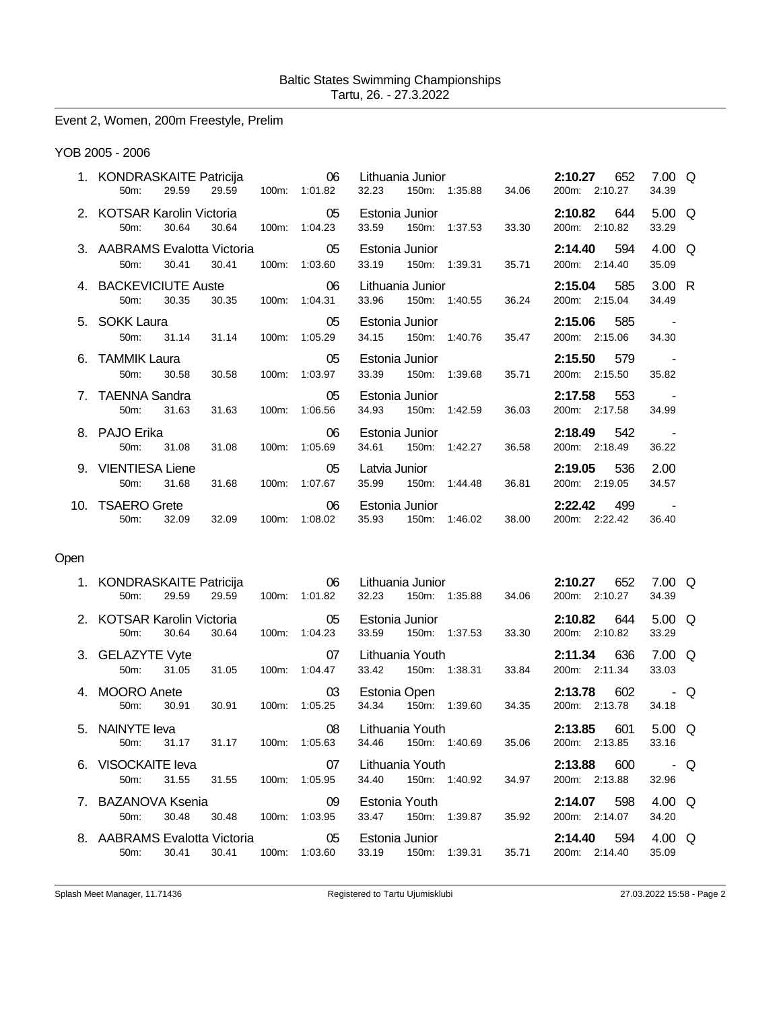Event 2, Women, 200m Freestyle, Prelim

## YOB 2005 - 2006

| 1. KONDRASKAITE Patricija 66 Lithuania Junior<br>$50m$ : | 29.59 |           | 29.59 100m: 1:01.82               |                | 32.23 150m: 1:35.88 34.06                                  |       | 2:10.27 652                  | 200m: 2:10.27                       | 7.00 $\Omega$<br>34.39 |  |
|----------------------------------------------------------|-------|-----------|-----------------------------------|----------------|------------------------------------------------------------|-------|------------------------------|-------------------------------------|------------------------|--|
| 2. KOTSAR Karolin Victoria 65<br>$50m$ :                 | 30.64 |           | 30.64 100m: 1:04.23               |                | Estonia Junior <b>Example</b><br>33.59 150m: 1:37.53 33.30 |       | 200m: 2:10.82                | <b>2:10.82</b> 644                  | 5.00 $\Omega$<br>33.29 |  |
| 3. AABRAMS Evalotta Victoria<br>$50m$ :                  | 30.41 |           | $\sim$ 05<br>30.41  100m: 1:03.60 |                | Estonia Junior <b>Example 1996</b><br>33.19 150m: 1:39.31  | 35.71 | <b>2:14.40</b> 594           | 200m: 2:14.40                       | 4.00 Q<br>35.09        |  |
| 4. BACKEVICIUTE Auste 06<br>$50m$ :                      | 30.35 |           | 30.35 100m: 1:04.31               |                | Lithuania Junior<br>33.96 150m: 1:40.55 36.24              |       |                              | <b>2:15.04</b> 585<br>200m: 2:15.04 | 3.00 R<br>34.49        |  |
| 5. SOKK Laura 65<br>50 <sub>m</sub> :                    |       |           | 31.14 31.14 100m: 1:05.29         | Estonia Junior | 34.15 150m: 1:40.76 35.47                                  |       | <b>2:15.06</b> 585           | 200m: 2:15.06                       | 34.30                  |  |
| 6. TAMMIK Laura 65<br>50m:                               | 30.58 | 30.58     | 100m: 1:03.97                     |                | Estonia Junior <b>Example 1996</b><br>33.39 150m: 1:39.68  | 35.71 | 2:15.50 579<br>200m: 2:15.50 |                                     | 35.82                  |  |
| 7. TAENNA Sandra<br>50 <sub>m</sub> :                    | 31.63 | $\sim$ 05 | 31.63 100m: 1:06.56               |                | Estonia Junior<br>34.93 150m: 1:42.59                      | 36.03 |                              | 2:17.58 553<br>200m: 2:17.58        | 34.99                  |  |
| 8. PAJO Erika<br>$50m$ :                                 |       | $\sim$ 06 | 31.08 31.08 100m: 1:05.69         | Estonia Junior | 34.61 150m: 1:42.27                                        | 36.58 | $2:18.49$ 542                | 200m: 2:18.49                       | 36.22                  |  |
| 9. VIENTIESA Liene<br>$50m$ :                            | 31.68 | $\sim$ 05 |                                   |                | Latvia Junior <b>Exercise State</b><br>35.99 150m: 1:44.48 | 36.81 | 2:19.05 536<br>200m: 2:19.05 |                                     | 2.00<br>34.57          |  |
| 10. TSAERO Grete 6 06 Estonia Junior<br>50m:             | 32.09 |           | 32.09  100m: 1:08.02              |                | 35.93 150m: 1:46.02 38.00                                  |       | 200m: 2:22.42                | <b>2:22.42</b> 499                  | 36.40                  |  |
|                                                          |       |           |                                   |                |                                                            |       |                              |                                     |                        |  |

## Open

|    | 1. KONDRASKAITE Patricija<br>$50m$ : | 29.59 | 29.59 | $100m$ : | $\sim$ 06<br>1:01.82 | Lithuania Junior<br>32.23<br>150m: | 1:35.88       | 34.06 | 652<br>2:10.27<br>200m: 2:10.27   | 7.00 Q<br>34.39         |
|----|--------------------------------------|-------|-------|----------|----------------------|------------------------------------|---------------|-------|-----------------------------------|-------------------------|
|    | 2. KOTSAR Karolin Victoria<br>50m:   | 30.64 | 30.64 | 100m:    | 05<br>1:04.23        | Estonia Junior<br>33.59<br>150m:   | 1:37.53 33.30 |       | 2:10.82<br>644<br>200m: 2:10.82   | $5.00 \quad Q$<br>33.29 |
|    | 3. GELAZYTE Vyte<br>50m:             | 31.05 | 31.05 | 100m:    | 07<br>1:04.47        | Lithuania Youth<br>33.42<br>150m:  | 1:38.31 33.84 |       | 2:11.34<br>- 636<br>200m: 2:11.34 | 7.00 Q<br>33.03         |
| 4. | <b>MOORO</b> Anete<br>50m:           | 30.91 | 30.91 | 100m:    | 03<br>1:05.25        | Estonia Open<br>34.34<br>150m:     | 1:39.60       | 34.35 | 602<br>2:13.78<br>200m: 2:13.78   | - Q<br>34.18            |
|    | 5. NAINYTE leva                      |       |       |          |                      |                                    |               |       |                                   |                         |
|    | $50m$ :                              | 31.17 | 31.17 | $100m$ : | 08<br>1:05.63        | Lithuania Youth<br>34.46           | 150m: 1:40.69 | 35.06 | 2:13.85<br>601<br>200m: 2:13.85   | $5.00 \Omega$<br>33.16  |
|    | 6. VISOCKAITE leva<br>50m:           | 31.55 | 31.55 | 100m:    | 07<br>1:05.95        | Lithuania Youth<br>34.40<br>150m:  | 1:40.92       | 34.97 | 600<br>2:13.88<br>200m: 2:13.88   | - Q<br>32.96            |
|    | 7. BAZANOVA Ksenia<br>50m:           | 30.48 | 30.48 | 100m:    | 09<br>1:03.95        | Estonia Youth<br>33.47<br>150m:    | 1:39.87       | 35.92 | 2:14.07<br>598<br>200m: 2:14.07   | 4.00 Q<br>34.20         |